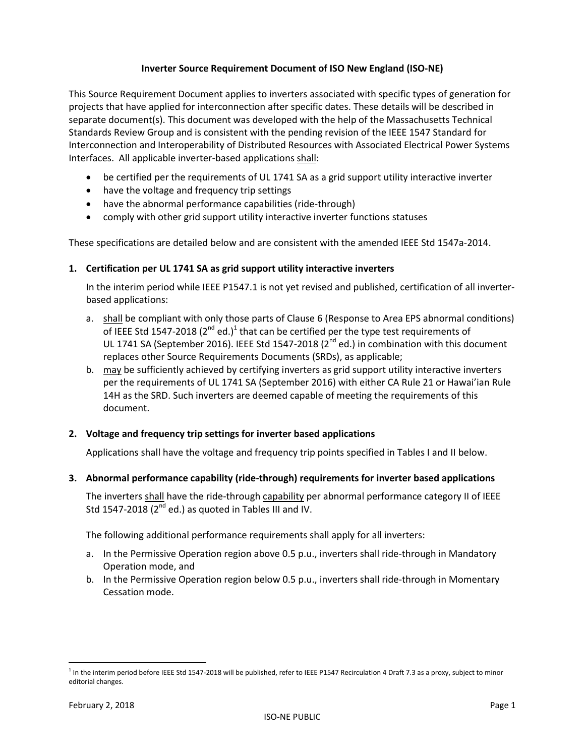#### **Inverter Source Requirement Document of ISO New England (ISO-NE)**

This Source Requirement Document applies to inverters associated with specific types of generation for projects that have applied for interconnection after specific dates. These details will be described in separate document(s). This document was developed with the help of the Massachusetts Technical Standards Review Group and is consistent with the pending revision of the IEEE 1547 Standard for Interconnection and Interoperability of Distributed Resources with Associated Electrical Power Systems Interfaces. All applicable inverter-based applications shall:

- be certified per the requirements of UL 1741 SA as a grid support utility interactive inverter
- have the voltage and frequency trip settings
- have the abnormal performance capabilities (ride-through)
- comply with other grid support utility interactive inverter functions statuses

These specifications are detailed below and are consistent with the amended IEEE Std 1547a-2014.

#### **1. Certification per UL 1741 SA as grid support utility interactive inverters**

In the interim period while IEEE P1547.1 is not yet revised and published, certification of all inverterbased applications:

- a. shall be compliant with only those parts of Clause 6 (Response to Area EPS abnormal conditions) of IEEE Std 1547-2018 (2<sup>nd</sup> ed.)<sup>1</sup> that can be certified per the type test requirements of UL 1741 SA (September 2016). IEEE Std 1547-2018 ( $2^{nd}$  ed.) in combination with this document replaces other Source Requirements Documents (SRDs), as applicable;
- b. may be sufficiently achieved by certifying inverters as grid support utility interactive inverters per the requirements of UL 1741 SA (September 2016) with either CA Rule 21 or Hawai'ian Rule 14H as the SRD. Such inverters are deemed capable of meeting the requirements of this document.

#### **2. Voltage and frequency trip settings for inverter based applications**

Applications shall have the voltage and frequency trip points specified in Tables I and II below.

#### **3. Abnormal performance capability (ride-through) requirements for inverter based applications**

The inverters shall have the ride-through capability per abnormal performance category II of IEEE Std 1547-2018 ( $2^{nd}$  ed.) as quoted in Tables III and IV.

The following additional performance requirements shall apply for all inverters:

- a. In the Permissive Operation region above 0.5 p.u., inverters shall ride-through in Mandatory Operation mode, and
- b. In the Permissive Operation region below 0.5 p.u., inverters shall ride-through in Momentary Cessation mode.

 $\overline{\phantom{a}}$ 

<sup>&</sup>lt;sup>1</sup> In the interim period before IEEE Std 1547-2018 will be published, refer to IEEE P1547 Recirculation 4 Draft 7.3 as a proxy, subject to minor editorial changes.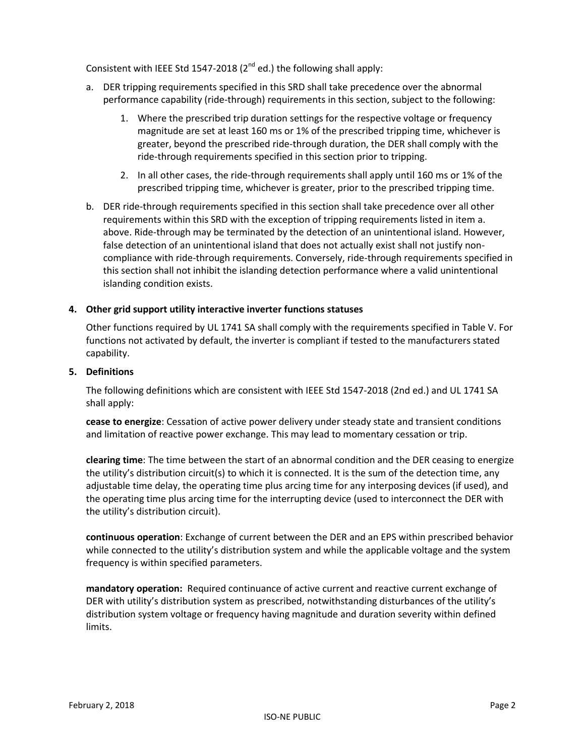Consistent with IEEE Std 1547-2018 ( $2<sup>nd</sup>$  ed.) the following shall apply:

- a. DER tripping requirements specified in this SRD shall take precedence over the abnormal performance capability (ride-through) requirements in this section, subject to the following:
	- 1. Where the prescribed trip duration settings for the respective voltage or frequency magnitude are set at least 160 ms or 1% of the prescribed tripping time, whichever is greater, beyond the prescribed ride-through duration, the DER shall comply with the ride-through requirements specified in this section prior to tripping.
	- 2. In all other cases, the ride-through requirements shall apply until 160 ms or 1% of the prescribed tripping time, whichever is greater, prior to the prescribed tripping time.
- b. DER ride-through requirements specified in this section shall take precedence over all other requirements within this SRD with the exception of tripping requirements listed in item a. above. Ride-through may be terminated by the detection of an unintentional island. However, false detection of an unintentional island that does not actually exist shall not justify noncompliance with ride-through requirements. Conversely, ride-through requirements specified in this section shall not inhibit the islanding detection performance where a valid unintentional islanding condition exists.

## **4. Other grid support utility interactive inverter functions statuses**

Other functions required by UL 1741 SA shall comply with the requirements specified in Table V. For functions not activated by default, the inverter is compliant if tested to the manufacturers stated capability.

#### **5. Definitions**

The following definitions which are consistent with IEEE Std 1547-2018 (2nd ed.) and UL 1741 SA shall apply:

**cease to energize**: Cessation of active power delivery under steady state and transient conditions and limitation of reactive power exchange. This may lead to momentary cessation or trip.

**clearing time**: The time between the start of an abnormal condition and the DER ceasing to energize the utility's distribution circuit(s) to which it is connected. It is the sum of the detection time, any adjustable time delay, the operating time plus arcing time for any interposing devices (if used), and the operating time plus arcing time for the interrupting device (used to interconnect the DER with the utility's distribution circuit).

**continuous operation**: Exchange of current between the DER and an EPS within prescribed behavior while connected to the utility's distribution system and while the applicable voltage and the system frequency is within specified parameters.

**mandatory operation:** Required continuance of active current and reactive current exchange of DER with utility's distribution system as prescribed, notwithstanding disturbances of the utility's distribution system voltage or frequency having magnitude and duration severity within defined limits.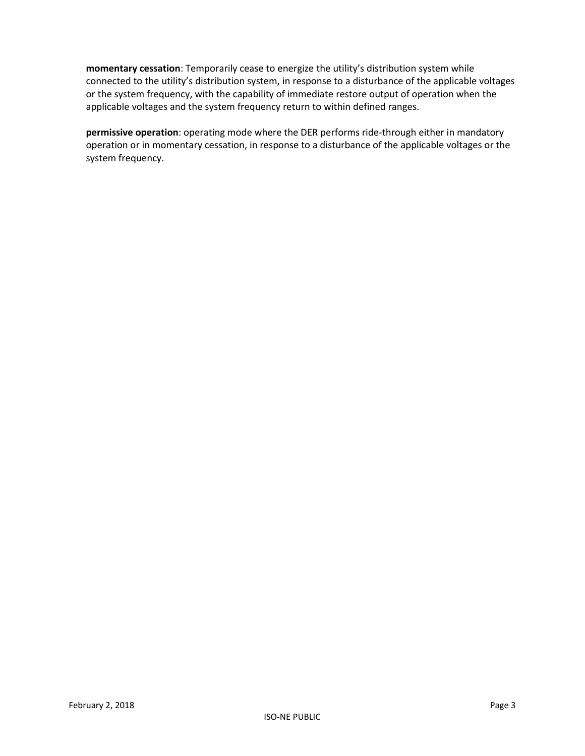**momentary cessation**: Temporarily cease to energize the utility's distribution system while connected to the utility's distribution system, in response to a disturbance of the applicable voltages or the system frequency, with the capability of immediate restore output of operation when the applicable voltages and the system frequency return to within defined ranges.

**permissive operation**: operating mode where the DER performs ride-through either in mandatory operation or in momentary cessation, in response to a disturbance of the applicable voltages or the system frequency.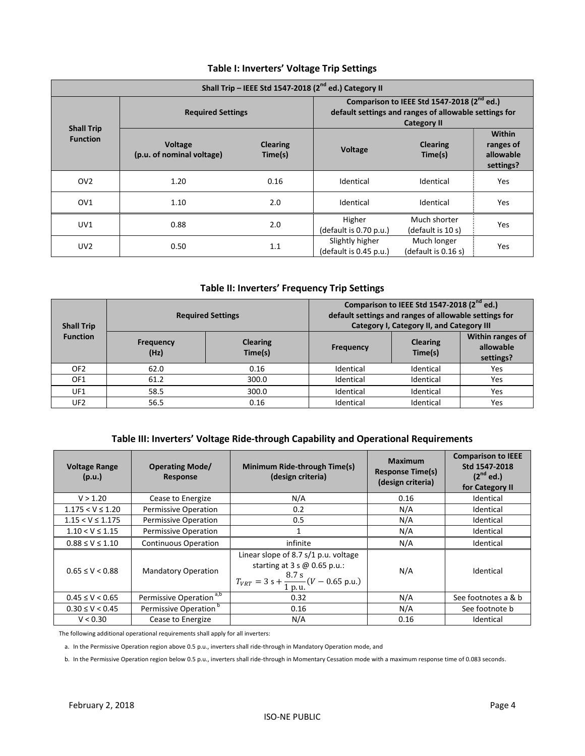| Shall Trip - IEEE Std 1547-2018 (2 <sup>nd</sup> ed.) Category II |                                             |                            |                                                                                                                                       |                                    |                                                      |
|-------------------------------------------------------------------|---------------------------------------------|----------------------------|---------------------------------------------------------------------------------------------------------------------------------------|------------------------------------|------------------------------------------------------|
|                                                                   | <b>Required Settings</b>                    |                            | Comparison to IEEE Std 1547-2018 (2 <sup>nd</sup> ed.)<br>default settings and ranges of allowable settings for<br><b>Category II</b> |                                    |                                                      |
| <b>Shall Trip</b><br><b>Function</b>                              | <b>Voltage</b><br>(p.u. of nominal voltage) | <b>Clearing</b><br>Time(s) | <b>Voltage</b>                                                                                                                        | <b>Clearing</b><br>Time(s)         | <b>Within</b><br>ranges of<br>allowable<br>settings? |
| OV <sub>2</sub>                                                   | 1.20                                        | 0.16                       | Identical                                                                                                                             | Identical                          | Yes                                                  |
| OV <sub>1</sub>                                                   | 1.10                                        | 2.0                        | Identical                                                                                                                             | Identical                          | Yes                                                  |
| UV1                                                               | 0.88                                        | 2.0                        | Higher<br>(default is $0.70$ p.u.)                                                                                                    | Much shorter<br>(default is 10 s)  | Yes                                                  |
| UV <sub>2</sub>                                                   | 0.50                                        | 1.1                        | Slightly higher<br>(default is 0.45 p.u.)                                                                                             | Much longer<br>(default is 0.16 s) | Yes                                                  |

## **Table I: Inverters' Voltage Trip Settings**

#### **Table II: Inverters' Frequency Trip Settings**

| <b>Shall Trip</b> | <b>Required Settings</b> |                            | Comparison to IEEE Std 1547-2018 (2 <sup>nd</sup> ed.)<br>default settings and ranges of allowable settings for<br><b>Category I, Category II, and Category III</b> |                            |                                                   |
|-------------------|--------------------------|----------------------------|---------------------------------------------------------------------------------------------------------------------------------------------------------------------|----------------------------|---------------------------------------------------|
| <b>Function</b>   | <b>Frequency</b><br>(Hz) | <b>Clearing</b><br>Time(s) | <b>Frequency</b>                                                                                                                                                    | <b>Clearing</b><br>Time(s) | <b>Within ranges of</b><br>allowable<br>settings? |
| OF <sub>2</sub>   | 62.0                     | 0.16                       | Identical                                                                                                                                                           | Identical                  | Yes                                               |
| OF <sub>1</sub>   | 61.2                     | 300.0                      | Identical                                                                                                                                                           | Identical                  | Yes                                               |
| UF1               | 58.5                     | 300.0                      | Identical                                                                                                                                                           | Identical                  | Yes                                               |
| UF <sub>2</sub>   | 56.5                     | 0.16                       | Identical                                                                                                                                                           | Identical                  | Yes                                               |

### **Table III: Inverters' Voltage Ride-through Capability and Operational Requirements**

| <b>Voltage Range</b><br>(p.u.) | <b>Operating Mode/</b><br><b>Response</b> | Minimum Ride-through Time(s)<br>(design criteria)                                                                                     | <b>Maximum</b><br><b>Response Time(s)</b><br>(design criteria) | <b>Comparison to IEEE</b><br>Std 1547-2018<br>$(2^{nd}$ ed.)<br>for Category II |
|--------------------------------|-------------------------------------------|---------------------------------------------------------------------------------------------------------------------------------------|----------------------------------------------------------------|---------------------------------------------------------------------------------|
| V > 1.20                       | Cease to Energize                         | N/A                                                                                                                                   | 0.16                                                           | Identical                                                                       |
| $1.175 < V \le 1.20$           | <b>Permissive Operation</b>               | 0.2                                                                                                                                   | N/A                                                            | Identical                                                                       |
| $1.15 < V \le 1.175$           | <b>Permissive Operation</b>               | 0.5                                                                                                                                   | N/A                                                            | Identical                                                                       |
| $1.10 < V \le 1.15$            | <b>Permissive Operation</b>               |                                                                                                                                       | N/A                                                            | Identical                                                                       |
| $0.88 \le V \le 1.10$          | <b>Continuous Operation</b>               | infinite                                                                                                                              | N/A                                                            | Identical                                                                       |
| $0.65 \le V \le 0.88$          | <b>Mandatory Operation</b>                | Linear slope of 8.7 s/1 p.u. voltage<br>starting at $3 s \omega 0.65 p.u.:$<br>$T_{VRT} = 3 s + \frac{8.7 s}{1 p.u.} (V - 0.65 p.u.)$ | N/A                                                            | Identical                                                                       |
| $0.45 \le V < 0.65$            | Permissive Operation <sup>a,b</sup>       | 0.32                                                                                                                                  | N/A                                                            | See footnotes a & b                                                             |
| $0.30 \le V < 0.45$            | Permissive Operation <sup>b</sup>         | 0.16                                                                                                                                  | N/A                                                            | See footnote b                                                                  |
| V < 0.30                       | Cease to Energize                         | N/A                                                                                                                                   | 0.16                                                           | Identical                                                                       |

The following additional operational requirements shall apply for all inverters:

a. In the Permissive Operation region above 0.5 p.u., inverters shall ride-through in Mandatory Operation mode, and

b. In the Permissive Operation region below 0.5 p.u., inverters shall ride-through in Momentary Cessation mode with a maximum response time of 0.083 seconds.